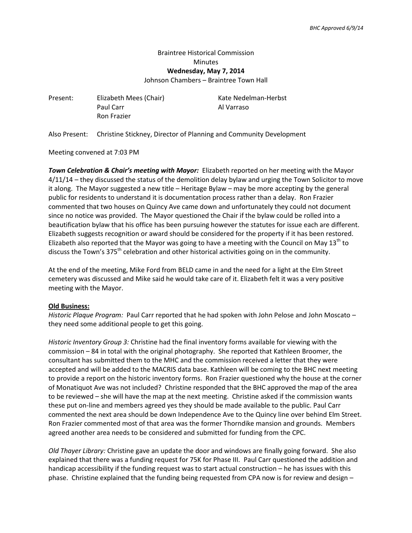## Braintree Historical Commission **Minutes Wednesday, May 7, 2014**

Johnson Chambers – Braintree Town Hall

Present: Elizabeth Mees (Chair) Kate Nedelman-Herbst Paul Carr **Al Varraso** Ron Frazier

Also Present: Christine Stickney, Director of Planning and Community Development

Meeting convened at 7:03 PM

*Town Celebration & Chair's meeting with Mayor:* Elizabeth reported on her meeting with the Mayor 4/11/14 – they discussed the status of the demolition delay bylaw and urging the Town Solicitor to move it along. The Mayor suggested a new title – Heritage Bylaw – may be more accepting by the general public for residents to understand it is documentation process rather than a delay. Ron Frazier commented that two houses on Quincy Ave came down and unfortunately they could not document since no notice was provided. The Mayor questioned the Chair if the bylaw could be rolled into a beautification bylaw that his office has been pursuing however the statutes for issue each are different. Elizabeth suggests recognition or award should be considered for the property if it has been restored. Elizabeth also reported that the Mayor was going to have a meeting with the Council on May  $13<sup>th</sup>$  to discuss the Town's 375<sup>th</sup> celebration and other historical activities going on in the community.

At the end of the meeting, Mike Ford from BELD came in and the need for a light at the Elm Street cemetery was discussed and Mike said he would take care of it. Elizabeth felt it was a very positive meeting with the Mayor.

## **Old Business:**

*Historic Plaque Program:* Paul Carr reported that he had spoken with John Pelose and John Moscato – they need some additional people to get this going.

*Historic Inventory Group 3:* Christine had the final inventory forms available for viewing with the commission – 84 in total with the original photography. She reported that Kathleen Broomer, the consultant has submitted them to the MHC and the commission received a letter that they were accepted and will be added to the MACRIS data base. Kathleen will be coming to the BHC next meeting to provide a report on the historic inventory forms. Ron Frazier questioned why the house at the corner of Monatiquot Ave was not included? Christine responded that the BHC approved the map of the area to be reviewed – she will have the map at the next meeting. Christine asked if the commission wants these put on-line and members agreed yes they should be made available to the public. Paul Carr commented the next area should be down Independence Ave to the Quincy line over behind Elm Street. Ron Frazier commented most of that area was the former Thorndike mansion and grounds. Members agreed another area needs to be considered and submitted for funding from the CPC.

*Old Thayer Library:* Christine gave an update the door and windows are finally going forward. She also explained that there was a funding request for 75K for Phase III. Paul Carr questioned the addition and handicap accessibility if the funding request was to start actual construction – he has issues with this phase. Christine explained that the funding being requested from CPA now is for review and design –